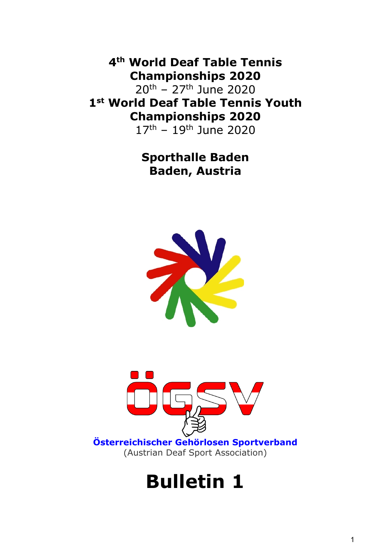4th World Deaf Table Tennis Championships 2020

20th – 27th June 2020 1st World Deaf Table Tennis Youth Championships 2020

17th – 19th June 2020

### Sporthalle Baden Baden, Austria





Österreichischer Gehörlosen Sportverband (Austrian Deaf Sport Association)

# Bulletin 1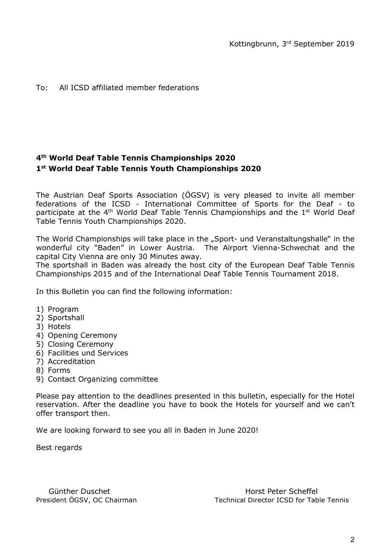#### To: All ICSD affiliated member federations

#### 4 th World Deaf Table Tennis Championships 2020 1 st World Deaf Table Tennis Youth Championships 2020

The Austrian Deaf Sports Association (ÖGSV) is very pleased to invite all member federations of the ICSD - International Committee of Sports for the Deaf - to participate at the  $4<sup>th</sup>$  World Deaf Table Tennis Championships and the  $1<sup>st</sup>$  World Deaf Table Tennis Youth Championships 2020.

The World Championships will take place in the "Sport- und Veranstaltungshalle" in the wonderful city "Baden" in Lower Austria. The Airport Vienna-Schwechat and the capital City Vienna are only 30 Minutes away.

The sportshall in Baden was already the host city of the European Deaf Table Tennis Championships 2015 and of the International Deaf Table Tennis Tournament 2018.

In this Bulletin you can find the following information:

- 1) Program
- 2) Sportshall
- 3) Hotels
- 4) Opening Ceremony
- 5) Closing Ceremony
- 6) Facilities und Services
- 7) Accreditation
- 8) Forms
- 9) Contact Organizing committee

Please pay attention to the deadlines presented in this bulletin, especially for the Hotel reservation. After the deadline you have to book the Hotels for yourself and we can't offer transport then.

We are looking forward to see you all in Baden in June 2020!

Best regards

Günther Duschet **Horst Peter Scheffel** President ÖGSV, OC Chairman Technical Director ICSD for Table Tennis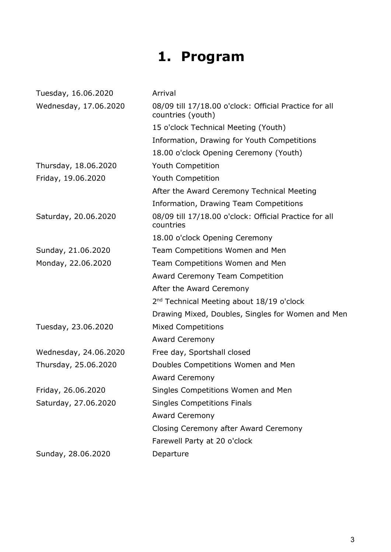# 1. Program

| Tuesday, 16.06.2020   | Arrival                                                                     |
|-----------------------|-----------------------------------------------------------------------------|
| Wednesday, 17.06.2020 | 08/09 till 17/18.00 o'clock: Official Practice for all<br>countries (youth) |
|                       | 15 o'clock Technical Meeting (Youth)                                        |
|                       | Information, Drawing for Youth Competitions                                 |
|                       | 18.00 o'clock Opening Ceremony (Youth)                                      |
| Thursday, 18.06.2020  | Youth Competition                                                           |
| Friday, 19.06.2020    | Youth Competition                                                           |
|                       | After the Award Ceremony Technical Meeting                                  |
|                       | Information, Drawing Team Competitions                                      |
| Saturday, 20.06.2020  | 08/09 till 17/18.00 o'clock: Official Practice for all<br>countries         |
|                       | 18.00 o'clock Opening Ceremony                                              |
| Sunday, 21.06.2020    | Team Competitions Women and Men                                             |
| Monday, 22.06.2020    | Team Competitions Women and Men                                             |
|                       | <b>Award Ceremony Team Competition</b>                                      |
|                       | After the Award Ceremony                                                    |
|                       | 2 <sup>nd</sup> Technical Meeting about 18/19 o'clock                       |
|                       | Drawing Mixed, Doubles, Singles for Women and Men                           |
| Tuesday, 23.06.2020   | <b>Mixed Competitions</b>                                                   |
|                       | <b>Award Ceremony</b>                                                       |
| Wednesday, 24.06.2020 | Free day, Sportshall closed                                                 |
| Thursday, 25.06.2020  | Doubles Competitions Women and Men                                          |
|                       | <b>Award Ceremony</b>                                                       |
| Friday, 26.06.2020    | Singles Competitions Women and Men                                          |
| Saturday, 27.06.2020  | <b>Singles Competitions Finals</b>                                          |
|                       | <b>Award Ceremony</b>                                                       |
|                       | Closing Ceremony after Award Ceremony                                       |
|                       | Farewell Party at 20 o'clock                                                |
| Sunday, 28.06.2020    | Departure                                                                   |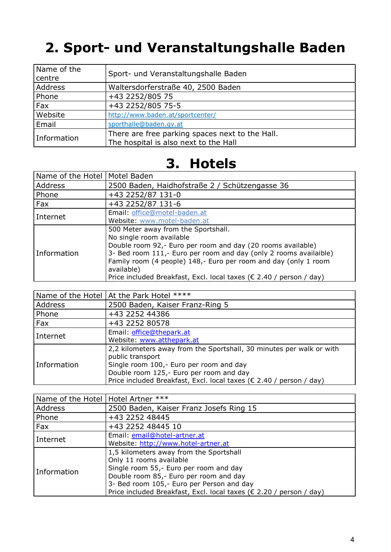## 2. Sport- und Veranstaltungshalle Baden

| Name of the<br>centre | Sport- und Veranstaltungshalle Baden                                                     |  |
|-----------------------|------------------------------------------------------------------------------------------|--|
| Address               | Waltersdorferstraße 40, 2500 Baden                                                       |  |
| Phone                 | +43 2252/805 75                                                                          |  |
| Fax                   | +43 2252/805 75-5                                                                        |  |
| Website               | http://www.baden.at/sportcenter/                                                         |  |
| Email                 | sporthalle@baden.gv.at                                                                   |  |
| Information           | There are free parking spaces next to the Hall.<br>The hospital is also next to the Hall |  |

### 3. Hotels

| Name of the Hotel   Motel Baden |                                                                     |  |
|---------------------------------|---------------------------------------------------------------------|--|
| Address                         | 2500 Baden, Haidhofstraße 2 / Schützengasse 36                      |  |
| Phone                           | +43 2252/87 131-0                                                   |  |
| Fax                             | +43 2252/87 131-6                                                   |  |
| Internet                        | Email: office@motel-baden.at                                        |  |
|                                 | Website: www.motel-baden.at                                         |  |
| Information                     | 500 Meter away from the Sportshall.                                 |  |
|                                 | No single room available                                            |  |
|                                 | Double room 92,- Euro per room and day (20 rooms available)         |  |
|                                 | 3- Bed room 111,- Euro per room and day (only 2 rooms availaible)   |  |
|                                 | Family room (4 people) 148,- Euro per room and day (only 1 room     |  |
|                                 | available)                                                          |  |
|                                 | Price included Breakfast, Excl. local taxes (€ 2.40 / person / day) |  |

|             | Name of the Hotel   At the Park Hotel ****                                                                                                                                                                                                            |  |
|-------------|-------------------------------------------------------------------------------------------------------------------------------------------------------------------------------------------------------------------------------------------------------|--|
| Address     | 2500 Baden, Kaiser Franz-Ring 5                                                                                                                                                                                                                       |  |
| Phone       | +43 2252 44386                                                                                                                                                                                                                                        |  |
| Fax         | +43 2252 80578                                                                                                                                                                                                                                        |  |
| l Internet  | Email: office@thepark.at<br>Website: www.atthepark.at                                                                                                                                                                                                 |  |
| Information | 2,2 kilometers away from the Sportshall, 30 minutes per walk or with<br>public transport<br>Single room 100,- Euro per room and day<br>Double room 125,- Euro per room and day<br>Price included Breakfast, Excl. local taxes (€ 2.40 / person / day) |  |

| Name of the Hotel   Hotel Artner *** |                                                                                                                                                                                                                                                                            |
|--------------------------------------|----------------------------------------------------------------------------------------------------------------------------------------------------------------------------------------------------------------------------------------------------------------------------|
| Address                              | 2500 Baden, Kaiser Franz Josefs Ring 15                                                                                                                                                                                                                                    |
| Phone                                | +43 2252 48445                                                                                                                                                                                                                                                             |
| Fax                                  | +43 2252 48445 10                                                                                                                                                                                                                                                          |
| Internet                             | Email: email@hotel-artner.at<br>Website: http://www.hotel-artner.at                                                                                                                                                                                                        |
| Information                          | 1,5 kilometers away from the Sportshall<br>Only 11 rooms available<br>Single room 55,- Euro per room and day<br>Double room 85,- Euro per room and day<br>3- Bed room 105,- Euro per Person and day<br>Price included Breakfast, Excl. local taxes (€ 2.20 / person / day) |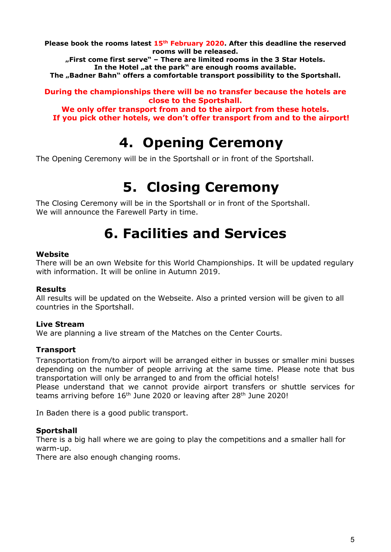Please book the rooms latest  $15<sup>th</sup>$  February 2020. After this deadline the reserved rooms will be released.

"First come first serve" - There are limited rooms in the 3 Star Hotels. In the Hotel "at the park" are enough rooms available.

The "Badner Bahn" offers a comfortable transport possibility to the Sportshall.

During the championships there will be no transfer because the hotels are close to the Sportshall.

We only offer transport from and to the airport from these hotels. If you pick other hotels, we don't offer transport from and to the airport!

### 4. Opening Ceremony

The Opening Ceremony will be in the Sportshall or in front of the Sportshall.

### 5. Closing Ceremony

The Closing Ceremony will be in the Sportshall or in front of the Sportshall. We will announce the Farewell Party in time.

### 6. Facilities and Services

#### Website

There will be an own Website for this World Championships. It will be updated regulary with information. It will be online in Autumn 2019.

#### Results

All results will be updated on the Webseite. Also a printed version will be given to all countries in the Sportshall.

#### Live Stream

We are planning a live stream of the Matches on the Center Courts.

#### **Transport**

Transportation from/to airport will be arranged either in busses or smaller mini busses depending on the number of people arriving at the same time. Please note that bus transportation will only be arranged to and from the official hotels!

Please understand that we cannot provide airport transfers or shuttle services for teams arriving before  $16<sup>th</sup>$  June 2020 or leaving after 28<sup>th</sup> June 2020!

In Baden there is a good public transport.

#### **Sportshall**

There is a big hall where we are going to play the competitions and a smaller hall for warm-up.

There are also enough changing rooms.